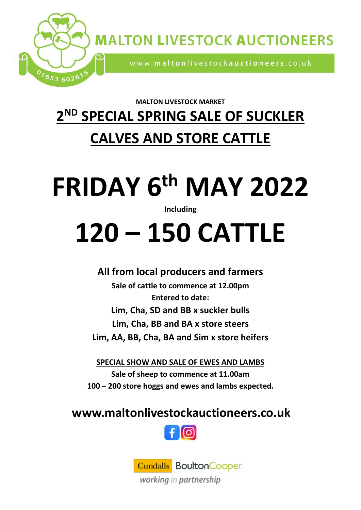

**MALTON LIVESTOCK MARKET**

## **2 ND SPECIAL SPRING SALE OF SUCKLER**

## **CALVES AND STORE CATTLE**

# **FRIDAY 6 th MAY 2022**

#### **Including**

## **120 – 150 CATTLE**

### **All from local producers and farmers**

**Sale of cattle to commence at 12.00pm Entered to date: Lim, Cha, SD and BB x suckler bulls Lim, Cha, BB and BA x store steers Lim, AA, BB, Cha, BA and Sim x store heifers**

**SPECIAL SHOW AND SALE OF EWES AND LAMBS Sale of sheep to commence at 11.00am 100 – 200 store hoggs and ewes and lambs expected.**

### **www.maltonlivestockauctioneers.co.uk**



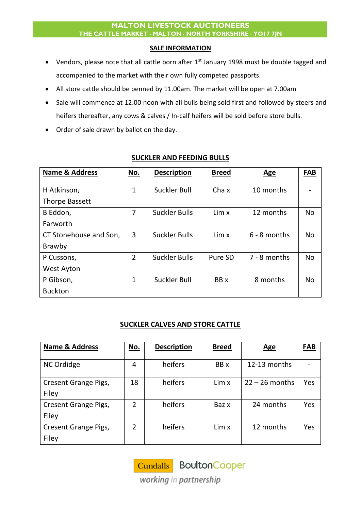#### **MALTON LIVESTOCK AUCTIONEERS THE CATTLE MARKET MALTON NORTH YORKSHIRE YO17 7JN**

#### **SALE INFORMATION**

- Vendors, please note that all cattle born after 1<sup>st</sup> January 1998 must be double tagged and accompanied to the market with their own fully competed passports.
- All store cattle should be penned by 11.00am. The market will be open at 7.00am
- Sale will commence at 12.00 noon with all bulls being sold first and followed by steers and heifers thereafter, any cows & calves / In-calf heifers will be sold before store bulls.
- Order of sale drawn by ballot on the day.

| <b>Name &amp; Address</b> | No.            | <b>Description</b>   | <b>Breed</b> | <b>Age</b>     | <b>FAB</b> |
|---------------------------|----------------|----------------------|--------------|----------------|------------|
| H Atkinson,               | 1              | Suckler Bull         | Cha x        | 10 months      |            |
| <b>Thorpe Bassett</b>     |                |                      |              |                |            |
| B Eddon,                  | 7              | <b>Suckler Bulls</b> | Lim x        | 12 months      | <b>No</b>  |
| Farworth                  |                |                      |              |                |            |
| CT Stonehouse and Son,    | 3              | <b>Suckler Bulls</b> | Lim x        | $6 - 8$ months | <b>No</b>  |
| Brawby                    |                |                      |              |                |            |
| P Cussons,                | $\overline{2}$ | <b>Suckler Bulls</b> | Pure SD      | 7 - 8 months   | <b>No</b>  |
| <b>West Ayton</b>         |                |                      |              |                |            |
| P Gibson,                 | 1              | Suckler Bull         | BB x         | 8 months       | <b>No</b>  |
| <b>Buckton</b>            |                |                      |              |                |            |

#### **SUCKLER AND FEEDING BULLS**

#### **SUCKLER CALVES AND STORE CATTLE**

| <b>Name &amp; Address</b> | No. | <b>Description</b> | <b>Breed</b> | <b>Age</b>       | <b>FAB</b> |
|---------------------------|-----|--------------------|--------------|------------------|------------|
|                           |     | heifers            | BB x         | 12-13 months     |            |
| NC Ordidge                | 4   |                    |              |                  |            |
| Cresent Grange Pigs,      | 18  | heifers            | Lim x        | $22 - 26$ months | Yes        |
| Filey                     |     |                    |              |                  |            |
| Cresent Grange Pigs,      | 2   | heifers            | Baz x        | 24 months        | Yes        |
| Filey                     |     |                    |              |                  |            |
| Cresent Grange Pigs,      | 2   | heifers            | Lim x        | 12 months        | Yes        |
| Filey                     |     |                    |              |                  |            |

Cundalls BoultonCooper

working in partnership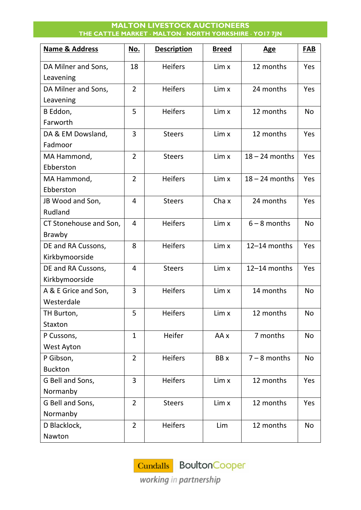#### **MALTON LIVESTOCK AUCTIONEERS THE CATTLE MARKET MALTON NORTH YORKSHIRE YO17 7JN**

| <b>Name &amp; Address</b> | No.            | <b>Description</b> | <b>Breed</b> | <b>Age</b>       | FAB       |
|---------------------------|----------------|--------------------|--------------|------------------|-----------|
| DA Milner and Sons,       | 18             | <b>Heifers</b>     | Lim x        | 12 months        | Yes       |
| Leavening                 |                |                    |              |                  |           |
| DA Milner and Sons,       | $\overline{2}$ | <b>Heifers</b>     | Lim x        | 24 months        | Yes       |
| Leavening                 |                |                    |              |                  |           |
| B Eddon,                  | 5              | <b>Heifers</b>     | Lim x        | 12 months        | <b>No</b> |
| Farworth                  |                |                    |              |                  |           |
| DA & EM Dowsland,         | 3              | <b>Steers</b>      | Lim x        | 12 months        | Yes       |
| Fadmoor                   |                |                    |              |                  |           |
| MA Hammond,               | $\overline{2}$ | <b>Steers</b>      | Lim x        | $18 - 24$ months | Yes       |
| Ebberston                 |                |                    |              |                  |           |
| MA Hammond,               | $\overline{2}$ | <b>Heifers</b>     | Lim x        | $18 - 24$ months | Yes       |
| Ebberston                 |                |                    |              |                  |           |
| JB Wood and Son,          | 4              | <b>Steers</b>      | Cha x        | 24 months        | Yes       |
| Rudland                   |                |                    |              |                  |           |
| CT Stonehouse and Son,    | 4              | <b>Heifers</b>     | Lim x        | $6 - 8$ months   | <b>No</b> |
| Brawby                    |                |                    |              |                  |           |
| DE and RA Cussons,        | 8              | <b>Heifers</b>     | Lim x        | 12-14 months     | Yes       |
| Kirkbymoorside            |                |                    |              |                  |           |
| DE and RA Cussons,        | 4              | <b>Steers</b>      | Lim x        | 12-14 months     | Yes       |
| Kirkbymoorside            |                |                    |              |                  |           |
| A & E Grice and Son,      | 3              | <b>Heifers</b>     | Lim x        | 14 months        | <b>No</b> |
| Westerdale                |                |                    |              |                  |           |
| TH Burton,                | 5              | Heifers            | Lim x        | 12 months        | No        |
| Staxton                   |                |                    |              |                  |           |
| P Cussons,                | $\mathbf{1}$   | Heifer             | AA x         | 7 months         | No        |
| <b>West Ayton</b>         |                |                    |              |                  |           |
| P Gibson,                 | $\overline{2}$ | <b>Heifers</b>     | BB x         | $7 - 8$ months   | No        |
| <b>Buckton</b>            |                |                    |              |                  |           |
| G Bell and Sons,          | $\overline{3}$ | <b>Heifers</b>     | Lim x        | 12 months        | Yes       |
| Normanby                  |                |                    |              |                  |           |
| G Bell and Sons,          | $\overline{2}$ | <b>Steers</b>      | Lim x        | 12 months        | Yes       |
| Normanby                  |                |                    |              |                  |           |
| D Blacklock,              | $\overline{2}$ | <b>Heifers</b>     | Lim          | 12 months        | No        |
| Nawton                    |                |                    |              |                  |           |

Cundalls BoultonCooper

working in partnership